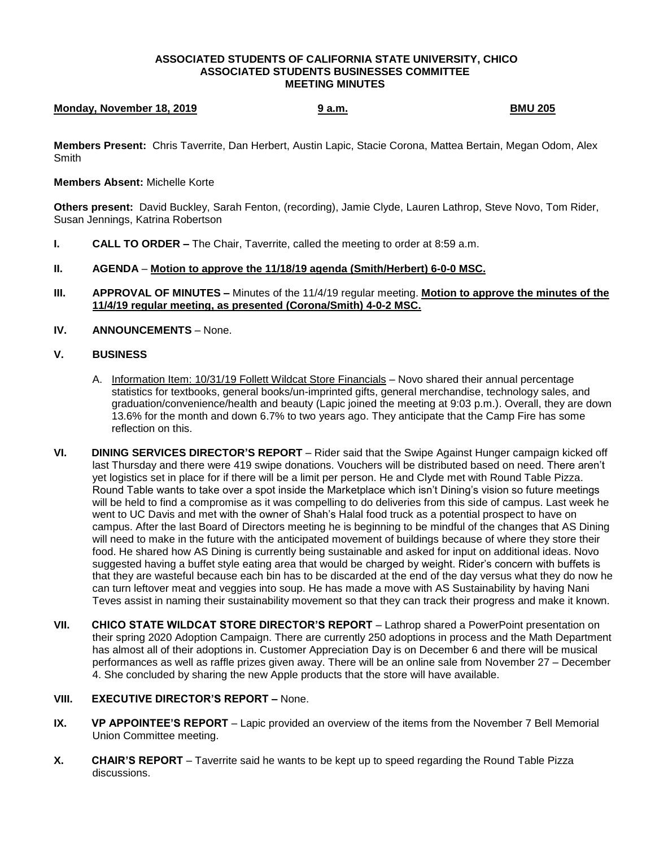#### **ASSOCIATED STUDENTS OF CALIFORNIA STATE UNIVERSITY, CHICO ASSOCIATED STUDENTS BUSINESSES COMMITTEE MEETING MINUTES**

# **Monday, November 18, 2019 19 a.m.** 9 a.m. **BMU 205**

**Members Present:** Chris Taverrite, Dan Herbert, Austin Lapic, Stacie Corona, Mattea Bertain, Megan Odom, Alex **Smith** 

### **Members Absent:** Michelle Korte

**Others present:** David Buckley, Sarah Fenton, (recording), Jamie Clyde, Lauren Lathrop, Steve Novo, Tom Rider, Susan Jennings, Katrina Robertson

**I. CALL TO ORDER** – The Chair, Taverrite, called the meeting to order at 8:59 a.m.

### **II. AGENDA** – **Motion to approve the 11/18/19 agenda (Smith/Herbert) 6-0-0 MSC.**

- **III. APPROVAL OF MINUTES –** Minutes of the 11/4/19 regular meeting. **Motion to approve the minutes of the 11/4/19 regular meeting, as presented (Corona/Smith) 4-0-2 MSC.**
- **IV. ANNOUNCEMENTS** None.

## **V. BUSINESS**

- A. Information Item: 10/31/19 Follett Wildcat Store Financials Novo shared their annual percentage statistics for textbooks, general books/un-imprinted gifts, general merchandise, technology sales, and graduation/convenience/health and beauty (Lapic joined the meeting at 9:03 p.m.). Overall, they are down 13.6% for the month and down 6.7% to two years ago. They anticipate that the Camp Fire has some reflection on this.
- **VI. DINING SERVICES DIRECTOR'S REPORT** Rider said that the Swipe Against Hunger campaign kicked off last Thursday and there were 419 swipe donations. Vouchers will be distributed based on need. There aren't yet logistics set in place for if there will be a limit per person. He and Clyde met with Round Table Pizza. Round Table wants to take over a spot inside the Marketplace which isn't Dining's vision so future meetings will be held to find a compromise as it was compelling to do deliveries from this side of campus. Last week he went to UC Davis and met with the owner of Shah's Halal food truck as a potential prospect to have on campus. After the last Board of Directors meeting he is beginning to be mindful of the changes that AS Dining will need to make in the future with the anticipated movement of buildings because of where they store their food. He shared how AS Dining is currently being sustainable and asked for input on additional ideas. Novo suggested having a buffet style eating area that would be charged by weight. Rider's concern with buffets is that they are wasteful because each bin has to be discarded at the end of the day versus what they do now he can turn leftover meat and veggies into soup. He has made a move with AS Sustainability by having Nani Teves assist in naming their sustainability movement so that they can track their progress and make it known.
- **VII. CHICO STATE WILDCAT STORE DIRECTOR'S REPORT** Lathrop shared a PowerPoint presentation on their spring 2020 Adoption Campaign. There are currently 250 adoptions in process and the Math Department has almost all of their adoptions in. Customer Appreciation Day is on December 6 and there will be musical performances as well as raffle prizes given away. There will be an online sale from November 27 – December 4. She concluded by sharing the new Apple products that the store will have available.

### **VIII. EXECUTIVE DIRECTOR'S REPORT –** None.

- **IX. VP APPOINTEE'S REPORT** Lapic provided an overview of the items from the November 7 Bell Memorial Union Committee meeting.
- **X. CHAIR'S REPORT** Taverrite said he wants to be kept up to speed regarding the Round Table Pizza discussions.